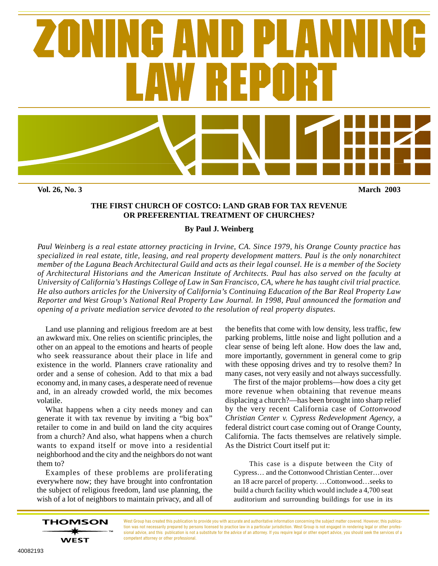

**THE FIRST CHURCH OF COSTCO: LAND GRAB FOR TAX REVENUE OR PREFERENTIAL TREATMENT OF CHURCHES?**

#### **By Paul J. Weinberg**

*Paul Weinberg is a real estate attorney practicing in Irvine, CA. Since 1979, his Orange County practice has specialized in real estate, title, leasing, and real property development matters. Paul is the only nonarchitect member of the Laguna Beach Architectural Guild and acts as their legal counsel. He is a member of the Society of Architectural Historians and the American Institute of Architects. Paul has also served on the faculty at University of California's Hastings College of Law in San Francisco, CA, where he has taught civil trial practice. He also authors articles for the University of California's Continuing Education of the Bar Real Property Law Reporter and West Group's National Real Property Law Journal. In 1998, Paul announced the formation and opening of a private mediation service devoted to the resolution of real property disputes.*

Land use planning and religious freedom are at best an awkward mix. One relies on scientific principles, the other on an appeal to the emotions and hearts of people who seek reassurance about their place in life and existence in the world. Planners crave rationality and order and a sense of cohesion. Add to that mix a bad economy and, in many cases, a desperate need of revenue and, in an already crowded world, the mix becomes volatile.

What happens when a city needs money and can generate it with tax revenue by inviting a "big box" retailer to come in and build on land the city acquires from a church? And also, what happens when a church wants to expand itself or move into a residential neighborhood and the city and the neighbors do not want them to?

Examples of these problems are proliferating everywhere now; they have brought into confrontation the subject of religious freedom, land use planning, the wish of a lot of neighbors to maintain privacy, and all of

the benefits that come with low density, less traffic, few parking problems, little noise and light pollution and a clear sense of being left alone. How does the law and, more importantly, government in general come to grip with these opposing drives and try to resolve them? In many cases, not very easily and not always successfully.

The first of the major problems—how does a city get more revenue when obtaining that revenue means displacing a church?—has been brought into sharp relief by the very recent California case of *Cottonwood Christian Center v. Cypress Redevelopment Agency*, a federal district court case coming out of Orange County, California. The facts themselves are relatively simple. As the District Court itself put it:

This case is a dispute between the City of Cypress… and the Cottonwood Christian Center…over an 18 acre parcel of property. …Cottonwood…seeks to build a church facility which would include a 4,700 seat auditorium and surrounding buildings for use in its

West Group has created this publication to provide you with accurate and authoritative information concerning the subject matter covered. However, this publication was not necessarily prepared by persons licensed to practice law in a particular jurisdiction. West Group is not engaged in rendering legal or other professional advice, and this publication is not a substitute for the advice of an attorney. If you require legal or other expert advice, you should seek the services of a competent attorney or other professional.

**THOMSON** 

**WEST**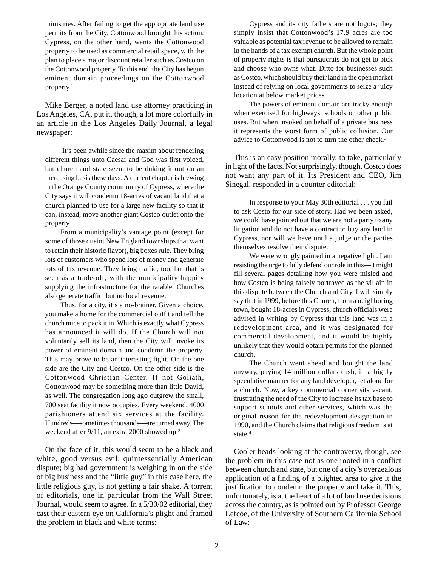ministries. After failing to get the appropriate land use permits from the City, Cottonwood brought this action. Cypress, on the other hand, wants the Cottonwood property to be used as commercial retail space, with the plan to place a major discount retailer such as Costco on the Cottonwood property. To this end, the City has begun eminent domain proceedings on the Cottonwood property.<sup>1</sup>

Mike Berger, a noted land use attorney practicing in Los Angeles, CA, put it, though, a lot more colorfully in an article in the Los Angeles Daily Journal, a legal newspaper:

 It's been awhile since the maxim about rendering different things unto Caesar and God was first voiced, but church and state seem to be duking it out on an increasing basis these days. A current chapter is brewing in the Orange County community of Cypress, where the City says it will condemn 18-acres of vacant land that a church planned to use for a large new facility so that it can, instead, move another giant Costco outlet onto the property.

From a municipality's vantage point (except for some of those quaint New England townships that want to retain their historic flavor), big boxes rule. They bring lots of customers who spend lots of money and generate lots of tax revenue. They bring traffic, too, but that is seen as a trade-off, with the municipality happily supplying the infrastructure for the ratable. Churches also generate traffic, but no local revenue.

Thus, for a city, it's a no-brainer. Given a choice, you make a home for the commercial outfit and tell the church mice to pack it in. Which is exactly what Cypress has announced it will do. If the Church will not voluntarily sell its land, then the City will invoke its power of eminent domain and condemn the property. This may prove to be an interesting fight. On the one side are the City and Costco. On the other side is the Cottonwood Christian Center. If not Goliath, Cottonwood may be something more than little David, as well. The congregation long ago outgrew the small, 700 seat facility it now occupies. Every weekend, 4000 parishioners attend six services at the facility. Hundreds—sometimes thousands—are turned away. The weekend after 9/11, an extra 2000 showed up.2

On the face of it, this would seem to be a black and white, good versus evil, quintessentially American dispute; big bad government is weighing in on the side of big business and the "little guy" in this case here, the little religious guy, is not getting a fair shake. A torrent of editorials, one in particular from the Wall Street Journal, would seem to agree. In a 5/30/02 editorial, they cast their eastern eye on California's plight and framed the problem in black and white terms:

Cypress and its city fathers are not bigots; they simply insist that Cottonwood's 17.9 acres are too valuable as potential tax revenue to be allowed to remain in the hands of a tax exempt church. But the whole point of property rights is that bureaucrats do not get to pick and choose who owns what. Ditto for businesses such as Costco, which should buy their land in the open market instead of relying on local governments to seize a juicy location at below market prices.

The powers of eminent domain are tricky enough when exercised for highways, schools or other public uses. But when invoked on behalf of a private business it represents the worst form of public collusion. Our advice to Cottonwood is not to turn the other cheek.3

This is an easy position morally, to take, particularly in light of the facts. Not surprisingly, though, Costco does not want any part of it. Its President and CEO, Jim Sinegal, responded in a counter-editorial:

In response to your May 30th editorial . . . you fail to ask Costo for our side of story. Had we been asked, we could have pointed out that we are not a party to any litigation and do not have a contract to buy any land in Cypress, nor will we have until a judge or the parties themselves resolve their dispute.

We were wrongly painted in a negative light. I am resisting the urge to fully defend our role in this—it might fill several pages detailing how you were misled and how Costco is being falsely portrayed as the villain in this dispute between the Church and City. I will simply say that in 1999, before this Church, from a neighboring town, bought 18-acres in Cypress, church officials were advised in writing by Cypress that this land was in a redevelopment area, and it was designated for commercial development, and it would be highly unlikely that they would obtain permits for the planned church.

The Church went ahead and bought the land anyway, paying 14 million dollars cash, in a highly speculative manner for any land developer, let alone for a church. Now, a key commercial corner sits vacant, frustrating the need of the City to increase its tax base to support schools and other services, which was the original reason for the redevelopment designation in 1990, and the Church claims that religious freedom is at state.<sup>4</sup>

Cooler heads looking at the controversy, though, see the problem in this case not as one rooted in a conflict between church and state, but one of a city's overzealous application of a finding of a blighted area to give it the justification to condemn the property and take it. This, unfortunately, is at the heart of a lot of land use decisions across the country, as is pointed out by Professor George Lefcoe, of the University of Southern California School of Law: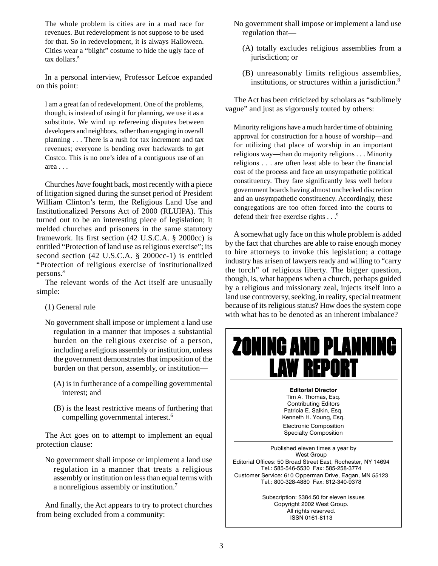The whole problem is cities are in a mad race for revenues. But redevelopment is not suppose to be used for that. So in redevelopment, it is always Halloween. Cities wear a "blight" costume to hide the ugly face of tax dollars.<sup>5</sup>

In a personal interview, Professor Lefcoe expanded on this point:

I am a great fan of redevelopment. One of the problems, though, is instead of using it for planning, we use it as a substitute. We wind up refereeing disputes between developers and neighbors, rather than engaging in overall planning . . . There is a rush for tax increment and tax revenues; everyone is bending over backwards to get Costco. This is no one's idea of a contiguous use of an area . . .

Churches *have* fought back, most recently with a piece of litigation signed during the sunset period of President William Clinton's term, the Religious Land Use and Institutionalized Persons Act of 2000 (RLUIPA). This turned out to be an interesting piece of legislation; it melded churches and prisoners in the same statutory framework. Its first section (42 U.S.C.A. § 2000cc) is entitled "Protection of land use as religious exercise"; its second section (42 U.S.C.A. § 2000cc-1) is entitled "Protection of religious exercise of institutionalized persons."

The relevant words of the Act itself are unusually simple:

#### (1) General rule

- No government shall impose or implement a land use regulation in a manner that imposes a substantial burden on the religious exercise of a person, including a religious assembly or institution, unless the government demonstrates that imposition of the burden on that person, assembly, or institution—
	- (A) is in furtherance of a compelling governmental interest; and
	- (B) is the least restrictive means of furthering that compelling governmental interest.6

The Act goes on to attempt to implement an equal protection clause:

No government shall impose or implement a land use regulation in a manner that treats a religious assembly or institution on less than equal terms with a nonreligious assembly or institution.7

And finally, the Act appears to try to protect churches from being excluded from a community:

- No government shall impose or implement a land use regulation that—
	- (A) totally excludes religious assemblies from a jurisdiction; or
	- (B) unreasonably limits religious assemblies, institutions, or structures within a jurisdiction. $8$

The Act has been criticized by scholars as "sublimely vague" and just as vigorously touted by others:

Minority religions have a much harder time of obtaining approval for construction for a house of worship—and for utilizing that place of worship in an important religious way—than do majority religions . . . Minority religions . . . are often least able to bear the financial cost of the process and face an unsympathetic political constituency. They fare significantly less well before government boards having almost unchecked discretion and an unsympathetic constituency. Accordingly, these congregations are too often forced into the courts to defend their free exercise rights . . .<sup>9</sup>

A somewhat ugly face on this whole problem is added by the fact that churches are able to raise enough money to hire attorneys to invoke this legislation; a cottage industry has arisen of lawyers ready and willing to "carry the torch" of religious liberty. The bigger question, though, is, what happens when a church, perhaps guided by a religious and missionary zeal, injects itself into a land use controversy, seeking, in reality, special treatment because of its religious status? How does the system cope with what has to be denoted as an inherent imbalance?



Patricia E. Salkin, Esq. Kenneth H. Young, Esq. Electronic Composition Specialty Composition

Published eleven times a year by West Group Editorial Offices: 50 Broad Street East, Rochester, NY 14694 Tel.: 585-546-5530 Fax: 585-258-3774 Customer Service: 610 Opperman Drive, Eagan, MN 55123 Tel.: 800-328-4880 Fax: 612-340-9378

> Subscription: \$384.50 for eleven issues Copyright 2002 West Group. All rights reserved. ISSN 0161-8113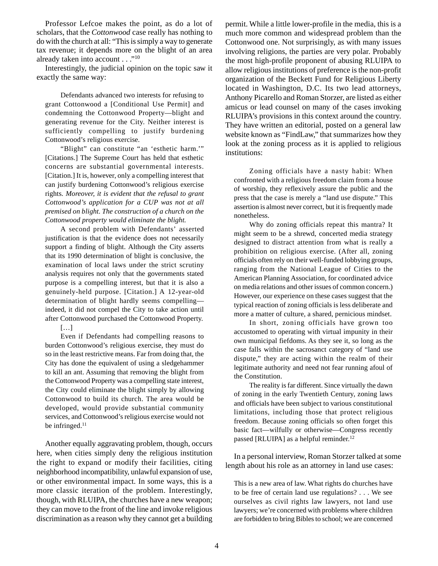Professor Lefcoe makes the point, as do a lot of scholars, that the *Cottonwood* case really has nothing to do with the church at all: "This is simply a way to generate tax revenue; it depends more on the blight of an area already taken into account . . ."<sup>10</sup>

Interestingly, the judicial opinion on the topic saw it exactly the same way:

Defendants advanced two interests for refusing to grant Cottonwood a [Conditional Use Permit] and condemning the Cottonwood Property—blight and generating revenue for the City. Neither interest is sufficiently compelling to justify burdening Cottonwood's religious exercise.

"Blight" can constitute "an 'esthetic harm.'" [Citations.] The Supreme Court has held that esthetic concerns are substantial governmental interests. [Citation.] It is, however, only a compelling interest that can justify burdening Cottonwood's religious exercise rights. *Moreover, it is evident that the refusal to grant Cottonwood's application for a CUP was not at all premised on blight. The construction of a church on the Cottonwood property would eliminate the blight.*

A second problem with Defendants' asserted justification is that the evidence does not necessarily support a finding of blight. Although the City asserts that its 1990 determination of blight is conclusive, the examination of local laws under the strict scrutiny analysis requires not only that the governments stated purpose is a compelling interest, but that it is also a genuinely-held purpose. [Citation.] A 12-year-old determination of blight hardly seems compelling indeed, it did not compel the City to take action until after Cottonwood purchased the Cottonwood Property. […]

Even if Defendants had compelling reasons to burden Cottonwood's religious exercise, they must do so in the least restrictive means. Far from doing that, the City has done the equivalent of using a sledgehammer to kill an ant. Assuming that removing the blight from the Cottonwood Property was a compelling state interest, the City could eliminate the blight simply by allowing Cottonwood to build its church. The area would be developed, would provide substantial community services, and Cottonwood's religious exercise would not be infringed. $11$ 

Another equally aggravating problem, though, occurs here, when cities simply deny the religious institution the right to expand or modify their facilities, citing neighborhood incompatibility, unlawful expansion of use, or other environmental impact. In some ways, this is a more classic iteration of the problem. Interestingly, though, with RLUIPA, the churches have a new weapon; they can move to the front of the line and invoke religious discrimination as a reason why they cannot get a building

permit. While a little lower-profile in the media, this is a much more common and widespread problem than the Cottonwood one. Not surprisingly, as with many issues involving religions, the parties are very polar. Probably the most high-profile proponent of abusing RLUIPA to allow religious institutions of preference is the non-profit organization of the Beckett Fund for Religious Liberty located in Washington, D.C. Its two lead attorneys, Anthony Picarello and Roman Storzer, are listed as either amicus or lead counsel on many of the cases invoking RLUIPA's provisions in this context around the country. They have written an editorial, posted on a general law website known as "FindLaw," that summarizes how they look at the zoning process as it is applied to religious institutions:

Zoning officials have a nasty habit: When confronted with a religious freedom claim from a house of worship, they reflexively assure the public and the press that the case is merely a "land use dispute." This assertion is almost never correct, but it is frequently made nonetheless.

Why do zoning officials repeat this mantra? It might seem to be a shrewd, concerted media strategy designed to distract attention from what is really a prohibition on religious exercise. (After all, zoning officials often rely on their well-funded lobbying groups, ranging from the National League of Cities to the American Planning Association, for coordinated advice on media relations and other issues of common concern.) However, our experience on these cases suggest that the typical reaction of zoning officials is less deliberate and more a matter of culture, a shared, pernicious mindset.

In short, zoning officials have grown too accustomed to operating with virtual impunity in their own municipal fiefdoms. As they see it, so long as the case falls within the sacrosanct category of "land use dispute," they are acting within the realm of their legitimate authority and need not fear running afoul of the Constitution.

The reality is far different. Since virtually the dawn of zoning in the early Twentieth Century, zoning laws and officials have been subject to various constitutional limitations, including those that protect religious freedom. Because zoning officials so often forget this basic fact—wilfully or otherwise—Congress recently passed [RLUIPA] as a helpful reminder.<sup>12</sup>

In a personal interview, Roman Storzer talked at some length about his role as an attorney in land use cases:

This is a new area of law. What rights do churches have to be free of certain land use regulations? . . . We see ourselves as civil rights law lawyers, not land use lawyers; we're concerned with problems where children are forbidden to bring Bibles to school; we are concerned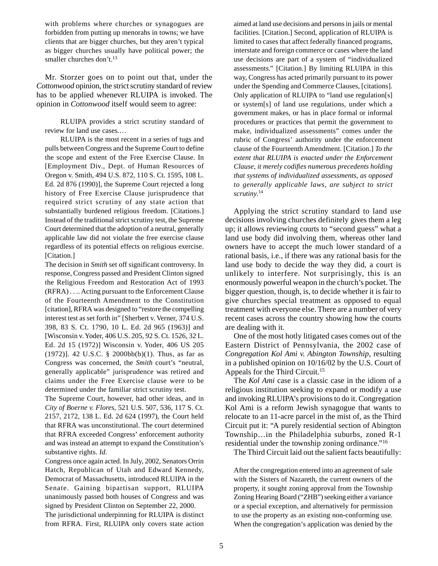with problems where churches or synagogues are forbidden from putting up menorahs in towns; we have clients that are bigger churches, but they aren't typical as bigger churches usually have political power; the smaller churches don't.<sup>13</sup>

Mr. Storzer goes on to point out that, under the *Cottonwood* opinion, the strict scrutiny standard of review has to be applied whenever RLUIPA is invoked. The opinion in *Cottonwood* itself would seem to agree:

RLUIPA provides a strict scrutiny standard of review for land use cases.…

RLUIPA is the most recent in a series of tugs and pulls between Congress and the Supreme Court to define the scope and extent of the Free Exercise Clause. In [Employment Div., Dept. of Human Resources of Oregon v. Smith, 494 U.S. 872, 110 S. Ct. 1595, 108 L. Ed. 2d 876 (1990)], the Supreme Court rejected a long history of Free Exercise Clause jurisprudence that required strict scrutiny of any state action that substantially burdened religious freedom. [Citations.] Instead of the traditional strict scrutiny test, the Supreme Court determined that the adoption of a neutral, generally applicable law did not violate the free exercise clause regardless of its potential effects on religious exercise. [Citation.]

The decision in *Smith* set off significant controversy. In response, Congress passed and President Clinton signed the Religious Freedom and Restoration Act of 1993 (RFRA) . . .. Acting pursuant to the Enforcement Clause of the Fourteenth Amendment to the Constitution [citation], RFRA was designed to "restore the compelling interest test as set forth in" [Sherbert v. Verner, 374 U.S. 398, 83 S. Ct. 1790, 10 L. Ed. 2d 965 (1963)] and [Wisconsin v. Yoder, 406 U.S. 205, 92 S. Ct. 1526, 32 L. Ed. 2d 15 (1972)] Wisconsin v. Yoder, 406 US 205 (1972)]. 42 U.S.C. § 2000bb(b)(1). Thus, as far as Congress was concerned, the *Smith* court's "neutral, generally applicable" jurisprudence was retired and claims under the Free Exercise clause were to be determined under the familiar strict scrutiny test.

The Supreme Court, however, had other ideas, and in *City of Boerne v. Flores*, 521 U.S. 507, 536, 117 S. Ct. 2157, 2172, 138 L. Ed. 2d 624 (1997), the Court held that RFRA was unconstitutional. The court determined that RFRA exceeded Congress' enforcement authority and was instead an attempt to expand the Constitution's substantive rights. *Id.*

Congress once again acted. In July, 2002, Senators Orrin Hatch, Republican of Utah and Edward Kennedy, Democrat of Massachusetts, introduced RLUIPA in the Senate. Gaining bipartisan support, RLUIPA unanimously passed both houses of Congress and was signed by President Clinton on September 22, 2000.

The jurisdictional underpinning for RLUIPA is distinct from RFRA. First, RLUIPA only covers state action aimed at land use decisions and persons in jails or mental facilities. [Citation.] Second, application of RLUIPA is limited to cases that affect federally financed programs, interstate and foreign commerce or cases where the land use decisions are part of a system of "individualized assessments." [Citation.] By limiting RLUIPA in this way, Congress has acted primarily pursuant to its power under the Spending and Commerce Clauses, [citations]. Only application of RLUIPA to "land use regulation[s] or system[s] of land use regulations, under which a government makes, or has in place formal or informal procedures or practices that permit the government to make, individualized assessments" comes under the rubric of Congress' authority under the enforcement clause of the Fourteenth Amendment. [Citation.] *To the extent that RLUIPA is enacted under the Enforcement Clause, it merely codifies numerous precedents holding that systems of individualized assessments, as opposed to generally applicable laws, are subject to strict scrutiny*. 14

Applying the strict scrutiny standard to land use decisions involving churches definitely gives them a leg up; it allows reviewing courts to "second guess" what a land use body did involving them, whereas other land owners have to accept the much lower standard of a rational basis, i.e., if there was any rational basis for the land use body to decide the way they did, a court is unlikely to interfere. Not surprisingly, this is an enormously powerful weapon in the church's pocket. The bigger question, though, is, to decide whether it is fair to give churches special treatment as opposed to equal treatment with everyone else. There are a number of very recent cases across the country showing how the courts are dealing with it.

One of the most hotly litigated cases comes out of the Eastern District of Pennsylvania, the 2002 case of *Congregation Kol Ami v. Abington Township*, resulting in a published opinion on 10/16/02 by the U.S. Court of Appeals for the Third Circuit.<sup>15</sup>

The *Kol Ami* case is a classic case in the idiom of a religious institution seeking to expand or modify a use and invoking RLUIPA's provisions to do it. Congregation Kol Ami is a reform Jewish synagogue that wants to relocate to an 11-acre parcel in the mist of, as the Third Circuit put it: "A purely residential section of Abington Township…in the Philadelphia suburbs, zoned R-1 residential under the township zoning ordinance."<sup>16</sup>

The Third Circuit laid out the salient facts beautifully:

After the congregation entered into an agreement of sale with the Sisters of Nazareth, the current owners of the property, it sought zoning approval from the Township Zoning Hearing Board ("ZHB") seeking either a variance or a special exception, and alternatively for permission to use the property as an existing non-conforming use. When the congregation's application was denied by the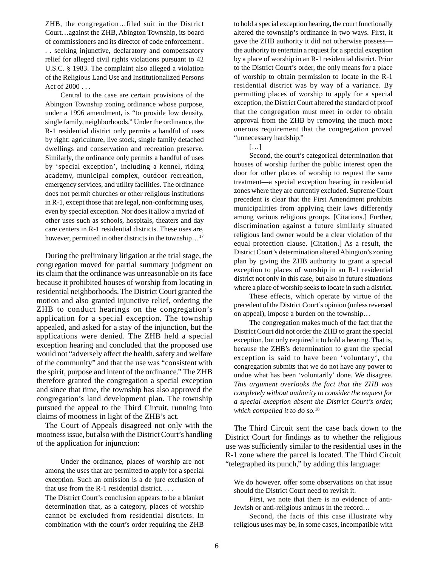ZHB, the congregation…filed suit in the District Court…against the ZHB, Abington Township, its board of commissioners and its director of code enforcement . . . seeking injunctive, declaratory and compensatory relief for alleged civil rights violations pursuant to 42 U.S.C. § 1983. The complaint also alleged a violation of the Religious Land Use and Institutionalized Persons Act of 2000 . . .

Central to the case are certain provisions of the Abington Township zoning ordinance whose purpose, under a 1996 amendment, is "to provide low density, single family, neighborhoods." Under the ordinance, the R-1 residential district only permits a handful of uses by right: agriculture, live stock, single family detached dwellings and conservation and recreation preserve. Similarly, the ordinance only permits a handful of uses by 'special exception', including a kennel, riding academy, municipal complex, outdoor recreation, emergency services, and utility facilities. The ordinance does not permit churches or other religious institutions in R-1, except those that are legal, non-conforming uses, even by special exception. Nor does it allow a myriad of other uses such as schools, hospitals, theaters and day care centers in R-1 residential districts. These uses are, however, permitted in other districts in the township...<sup>17</sup>

During the preliminary litigation at the trial stage, the congregation moved for partial summary judgment on its claim that the ordinance was unreasonable on its face because it prohibited houses of worship from locating in residential neighborhoods. The District Court granted the motion and also granted injunctive relief, ordering the ZHB to conduct hearings on the congregation's application for a special exception. The township appealed, and asked for a stay of the injunction, but the applications were denied. The ZHB held a special exception hearing and concluded that the proposed use would not "adversely affect the health, safety and welfare of the community" and that the use was "consistent with the spirit, purpose and intent of the ordinance." The ZHB therefore granted the congregation a special exception and since that time, the township has also approved the congregation's land development plan. The township pursued the appeal to the Third Circuit, running into claims of mootness in light of the ZHB's act.

The Court of Appeals disagreed not only with the mootness issue, but also with the District Court's handling of the application for injunction:

Under the ordinance, places of worship are not among the uses that are permitted to apply for a special exception. Such an omission is a de jure exclusion of that use from the R-1 residential district. . . .

The District Court's conclusion appears to be a blanket determination that, as a category, places of worship cannot be excluded from residential districts. In combination with the court's order requiring the ZHB

to hold a special exception hearing, the court functionally altered the township's ordinance in two ways. First, it gave the ZHB authority it did not otherwise possess the authority to entertain a request for a special exception by a place of worship in an R-1 residential district. Prior to the District Court's order, the only means for a place of worship to obtain permission to locate in the R-1 residential district was by way of a variance. By permitting places of worship to apply for a special exception, the District Court altered the standard of proof that the congregation must meet in order to obtain approval from the ZHB by removing the much more onerous requirement that the congregation proved "unnecessary hardship."

| ٠ |    |     |     | Ξ |
|---|----|-----|-----|---|
|   | ×. | on, | on, |   |

Second, the court's categorical determination that houses of worship further the public interest open the door for other places of worship to request the same treatment—a special exception hearing in residential zones where they are currently excluded. Supreme Court precedent is clear that the First Amendment prohibits municipalities from applying their laws differently among various religious groups. [Citations.] Further, discrimination against a future similarly situated religious land owner would be a clear violation of the equal protection clause. [Citation.] As a result, the District Court's determination altered Abington's zoning plan by giving the ZHB authority to grant a special exception to places of worship in an R-1 residential district not only in this case, but also in future situations where a place of worship seeks to locate in such a district.

These effects, which operate by virtue of the precedent of the District Court's opinion (unless reversed on appeal), impose a burden on the township…

The congregation makes much of the fact that the District Court did not order the ZHB to grant the special exception, but only required it to hold a hearing. That is, because the ZHB's determination to grant the special exception is said to have been 'voluntary', the congregation submits that we do not have any power to undue what has been 'voluntarily' done. We disagree. *This argument overlooks the fact that the ZHB was completely without authority to consider the request for a special exception absent the District Court's order, which compelled it to do so.*<sup>18</sup>

The Third Circuit sent the case back down to the District Court for findings as to whether the religious use was sufficiently similar to the residential uses in the R-1 zone where the parcel is located. The Third Circuit "telegraphed its punch," by adding this language:

We do however, offer some observations on that issue should the District Court need to revisit it.

First, we note that there is no evidence of anti-Jewish or anti-religious animus in the record…

Second, the facts of this case illustrate why religious uses may be, in some cases, incompatible with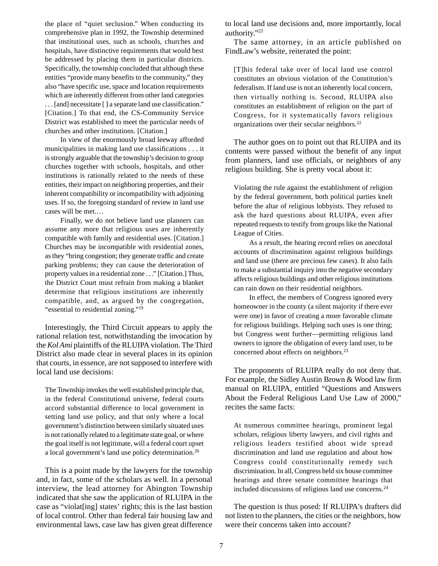the place of "quiet seclusion." When conducting its comprehensive plan in 1992, the Township determined that institutional uses, such as schools, churches and hospitals, have distinctive requirements that would best be addressed by placing them in particular districts. Specifically, the township concluded that although these entities "provide many benefits to the community," they also "have specific use, space and location requirements which are inherently different from other land categories . . . [and] necessitate [ ] a separate land use classification." [Citation.] To that end, the CS-Community Service District was established to meet the particular needs of churches and other institutions. [Citation.]

In view of the enormously broad leeway afforded municipalities in making land use classifications . . . it is strongly arguable that the township's decision to group churches together with schools, hospitals, and other institutions is rationally related to the needs of these entities, their impact on neighboring properties, and their inherent compatibility or incompatibility with adjoining uses. If so, the foregoing standard of review in land use cases will be met.…

Finally, we do not believe land use planners can assume any more that religious uses are inherently compatible with family and residential uses. [Citation.] Churches may be incompatible with residential zones, as they "bring congestion; they generate traffic and create parking problems; they can cause the deterioration of property values in a residential zone . . ." [Citation.] Thus, the District Court must refrain from making a blanket determine that religious institutions are inherently compatible, and, as argued by the congregation, "essential to residential zoning."<sup>19</sup>

Interestingly, the Third Circuit appears to apply the rational relation test, notwithstanding the invocation by the *Kol Ami* plaintiffs of the RLUIPA violation. The Third District also made clear in several places in its opinion that courts, in essence, are not supposed to interfere with local land use decisions:

The Township invokes the well established principle that, in the federal Constitutional universe, federal courts accord substantial difference to local government in setting land use policy, and that only where a local government's distinction between similarly situated uses is not rationally related to a legitimate state goal, or where the goal itself is not legitimate, will a federal court upset a local government's land use policy determination.20

This is a point made by the lawyers for the township and, in fact, some of the scholars as well. In a personal interview, the lead attorney for Abington Township indicated that she saw the application of RLUIPA in the case as "violat[ing] states' rights; this is the last bastion of local control. Other than federal fair housing law and environmental laws, case law has given great difference

to local land use decisions and, more importantly, local authority."21

The same attorney, in an article published on FindLaw's website, reiterated the point:

[T]his federal take over of local land use control constitutes an obvious violation of the Constitution's federalism. If land use is not an inherently local concern, then virtually nothing is. Second, RLUIPA also constitutes an establishment of religion on the part of Congress, for it systematically favors religious organizations over their secular neighbors.22

The author goes on to point out that RLUIPA and its contents were passed without the benefit of any input from planners, land use officials, or neighbors of any religious building. She is pretty vocal about it:

Violating the rule against the establishment of religion by the federal government, both political parties knelt before the altar of religious lobbyists. They refused to ask the hard questions about RLUIPA, even after repeated requests to testify from groups like the National League of Cities.

As a result, the hearing record relies on anecdotal accounts of discrimination against religious buildings and land use (there are precious few cases). It also fails to make a substantial inquiry into the negative secondary affects religious buildings and other religious institutions can rain down on their residential neighbors.

In effect, the members of Congress ignored every homeowner in the county (a silent majority if there ever were one) in favor of creating a more favorable climate for religious buildings. Helping such uses is one thing; but Congress went further—permitting religious land owners to ignore the obligation of every land user, to be concerned about effects on neighbors.<sup>23</sup>

The proponents of RLUIPA really do not deny that. For example, the Sidley Austin Brown & Wood law firm manual on RLUIPA, entitled "Questions and Answers About the Federal Religious Land Use Law of 2000," recites the same facts:

At numerous committee hearings, prominent legal scholars, religious liberty lawyers, and civil rights and religious leaders testified about wide spread discrimination and land use regulation and about how Congress could constitutionally remedy such discrimination. In all, Congress held six house committee hearings and three senate committee hearings that included discussions of religious land use concerns.24

The question is thus posed: If RLUIPA's drafters did not listen to the planners, the cities or the neighbors, how were their concerns taken into account?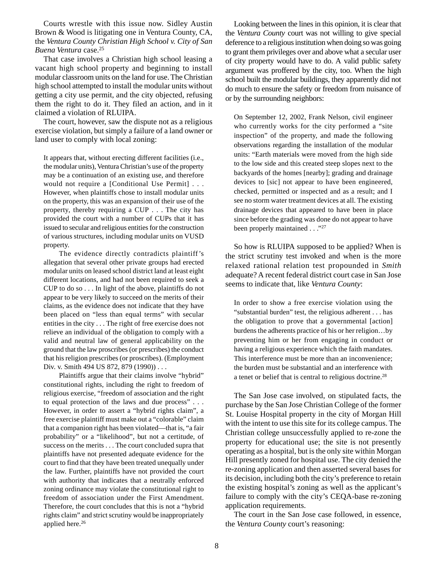Courts wrestle with this issue now. Sidley Austin Brown & Wood is litigating one in Ventura County, CA, the *Ventura County Christian High School v. City of San Buena Ventura* case.25

That case involves a Christian high school leasing a vacant high school property and beginning to install modular classroom units on the land for use. The Christian high school attempted to install the modular units without getting a city use permit, and the city objected, refusing them the right to do it. They filed an action, and in it claimed a violation of RLUIPA.

The court, however, saw the dispute not as a religious exercise violation, but simply a failure of a land owner or land user to comply with local zoning:

It appears that, without erecting different facilities (i.e., the modular units), Ventura Christian's use of the property may be a continuation of an existing use, and therefore would not require a [Conditional Use Permit] . . . However, when plaintiffs chose to install modular units on the property, this was an expansion of their use of the property, thereby requiring a CUP . . . The city has provided the court with a number of CUPs that it has issued to secular and religious entities for the construction of various structures, including modular units on VUSD property.

The evidence directly contradicts plaintiff's allegation that several other private groups had erected modular units on leased school district land at least eight different locations, and had not been required to seek a CUP to do so . . . In light of the above, plaintiffs do not appear to be very likely to succeed on the merits of their claims, as the evidence does not indicate that they have been placed on "less than equal terms" with secular entities in the city . . . The right of free exercise does not relieve an individual of the obligation to comply with a valid and neutral law of general applicability on the ground that the law proscribes (or prescribes) the conduct that his religion prescribes (or proscribes). (Employment Div. v. Smith 494 US 872, 879 (1990)) . . .

Plaintiffs argue that their claims involve "hybrid" constitutional rights, including the right to freedom of religious exercise, "freedom of association and the right to equal protection of the laws and due process" . . . However, in order to assert a "hybrid rights claim", a free exercise plaintiff must make out a "colorable" claim that a companion right has been violated—that is, "a fair probability" or a "likelihood", but not a certitude, of success on the merits . . . The court concluded supra that plaintiffs have not presented adequate evidence for the court to find that they have been treated unequally under the law. Further, plaintiffs have not provided the court with authority that indicates that a neutrally enforced zoning ordinance may violate the constitutional right to freedom of association under the First Amendment. Therefore, the court concludes that this is not a "hybrid rights claim" and strict scrutiny would be inappropriately applied here.<sup>26</sup>

Looking between the lines in this opinion, it is clear that the *Ventura County* court was not willing to give special deference to a religious institution when doing so was going to grant them privileges over and above what a secular user of city property would have to do. A valid public safety argument was proffered by the city, too. When the high school built the modular buildings, they apparently did not do much to ensure the safety or freedom from nuisance of or by the surrounding neighbors:

On September 12, 2002, Frank Nelson, civil engineer who currently works for the city performed a "site inspection" of the property, and made the following observations regarding the installation of the modular units: "Earth materials were moved from the high side to the low side and this created steep slopes next to the backyards of the homes [nearby]; grading and drainage devices to [sic] not appear to have been engineered, checked, permitted or inspected and as a result; and I see no storm water treatment devices at all. The existing drainage devices that appeared to have been in place since before the grading was done do not appear to have been properly maintained . . ."<sup>27</sup>

So how is RLUIPA supposed to be applied? When is the strict scrutiny test invoked and when is the more relaxed rational relation test propounded in *Smith* adequate? A recent federal district court case in San Jose seems to indicate that, like *Ventura County*:

In order to show a free exercise violation using the "substantial burden" test, the religious adherent . . . has the obligation to prove that a governmental [action] burdens the adherents practice of his or her religion…by preventing him or her from engaging in conduct or having a religious experience which the faith mandates. This interference must be more than an inconvenience; the burden must be substantial and an interference with a tenet or belief that is central to religious doctrine.28

The San Jose case involved, on stipulated facts, the purchase by the San Jose Christian College of the former St. Louise Hospital property in the city of Morgan Hill with the intent to use this site for its college campus. The Christian college unsuccessfully applied to re-zone the property for educational use; the site is not presently operating as a hospital, but is the only site within Morgan Hill presently zoned for hospital use. The city denied the re-zoning application and then asserted several bases for its decision, including both the city's preference to retain the existing hospital's zoning as well as the applicant's failure to comply with the city's CEQA-base re-zoning application requirements.

The court in the San Jose case followed, in essence, the *Ventura County* court's reasoning: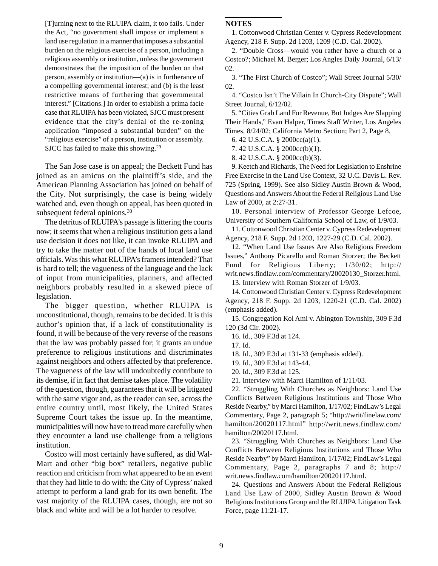[T]urning next to the RLUIPA claim, it too fails. Under the Act, "no government shall impose or implement a land use regulation in a manner that imposes a substantial burden on the religious exercise of a person, including a religious assembly or institution, unless the government demonstrates that the imposition of the burden on that person, assembly or institution—(a) is in furtherance of a compelling governmental interest; and (b) is the least restrictive means of furthering that governmental interest." [Citations.] In order to establish a prima facie case that RLUIPA has been violated, SJCC must present evidence that the city's denial of the re-zoning application "imposed a substantial burden" on the "religious exercise" of a person, institution or assembly. SJCC has failed to make this showing.<sup>29</sup>

The San Jose case is on appeal; the Beckett Fund has joined as an amicus on the plaintiff's side, and the American Planning Association has joined on behalf of the City. Not surprisingly, the case is being widely watched and, even though on appeal, has been quoted in subsequent federal opinions.<sup>30</sup>

The detritus of RLUIPA's passage is littering the courts now; it seems that when a religious institution gets a land use decision it does not like, it can invoke RLUIPA and try to take the matter out of the hands of local land use officials. Was this what RLUIPA's framers intended? That is hard to tell; the vagueness of the language and the lack of input from municipalities, planners, and affected neighbors probably resulted in a skewed piece of legislation.

The bigger question, whether RLUIPA is unconstitutional, though, remains to be decided. It is this author's opinion that, if a lack of constitutionality is found, it will be because of the very reverse of the reasons that the law was probably passed for; it grants an undue preference to religious institutions and discriminates against neighbors and others affected by that preference. The vagueness of the law will undoubtedly contribute to its demise, if in fact that demise takes place. The volatility of the question, though, guarantees that it will be litigated with the same vigor and, as the reader can see, across the entire country until, most likely, the United States Supreme Court takes the issue up. In the meantime, municipalities will now have to tread more carefully when they encounter a land use challenge from a religious institution.

Costco will most certainly have suffered, as did Wal-Mart and other "big box" retailers, negative public reaction and criticism from what appeared to be an event that they had little to do with: the City of Cypress' naked attempt to perform a land grab for its own benefit. The vast majority of the RLUIPA cases, though, are not so black and white and will be a lot harder to resolve.

#### **NOTES**

1. Cottonwood Christian Center v. Cypress Redevelopment Agency, 218 F. Supp. 2d 1203, 1209 (C.D. Cal. 2002).

2. "Double Cross—would you rather have a church or a Costco?; Michael M. Berger; Los Angles Daily Journal, 6/13/ 02.

3. "The First Church of Costco"; Wall Street Journal 5/30/ 02.

4. "Costco Isn't The Villain In Church-City Dispute"; Wall Street Journal, 6/12/02.

5. "Cities Grab Land For Revenue, But Judges Are Slapping Their Hands," Evan Halper, Times Staff Writer, Los Angeles Times, 8/24/02; California Metro Section; Part 2, Page 8.

6. 42 U.S.C.A. § 2000cc(a)(1).

7. 42 U.S.C.A. § 2000cc(b)(1).

8. 42 U.S.C.A. § 2000cc(b)(3).

9. Keetch and Richards, The Need for Legislation to Enshrine Free Exercise in the Land Use Context, 32 U.C. Davis L. Rev. 725 (Spring, 1999). See also Sidley Austin Brown & Wood, Questions and Answers About the Federal Religious Land Use Law of 2000, at 2:27-31.

10. Personal interview of Professor George Lefcoe, University of Southern California School of Law, of 1/9/03.

11. Cottonwood Christian Center v. Cypress Redevelopment Agency, 218 F. Supp. 2d 1203, 1227-29 (C.D. Cal. 2002).

12. "When Land Use Issues Are Also Religious Freedom Issues," Anthony Picarello and Roman Storzer; the Beckett Fund for Religious Liberty; 1/30/02; http:// writ.news.findlaw.com/commentary/20020130\_Storzer.html.

13. Interview with Roman Storzer of 1/9/03.

14. Cottonwood Christian Center v. Cypress Redevelopment Agency, 218 F. Supp. 2d 1203, 1220-21 (C.D. Cal. 2002) (emphasis added).

15. Congregation Kol Ami v. Abington Township, 309 F.3d 120 (3d Cir. 2002).

16. Id., 309 F.3d at 124.

17. Id.

18. Id., 309 F.3d at 131-33 (emphasis added).

19. Id., 309 F.3d at 143-44.

20. Id., 309 F.3d at 125.

21. Interview with Marci Hamilton of 1/11/03.

22. "Struggling With Churches as Neighbors: Land Use Conflicts Between Religious Institutions and Those Who Reside Nearby," by Marci Hamilton, 1/17/02; FindLaw's Legal Commentary, Page 2, paragraph 5; "http://writ/finelaw.com/ hamilton/20020117.html" http://writ.news.findlaw.com/ hamilton/20020117.html.

23. "Struggling With Churches as Neighbors: Land Use Conflicts Between Religious Institutions and Those Who Reside Nearby" by Marci Hamilton, 1/17/02; FindLaw's Legal Commentary, Page 2, paragraphs 7 and 8; http:// writ.news.findlaw.com/hamilton/20020117.html.

24. Questions and Answers About the Federal Religious Land Use Law of 2000, Sidley Austin Brown & Wood Religious Institutions Group and the RLUIPA Litigation Task Force, page 11:21-17.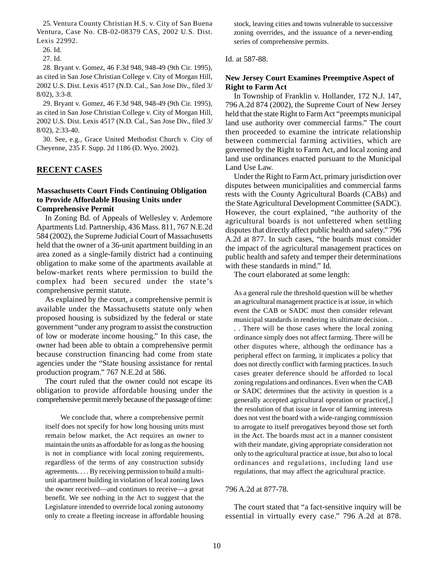25. Ventura County Christian H.S. v. City of San Buena Ventura, Case No. CB-02-08379 CAS, 2002 U.S. Dist. Lexis 22992.

28. Bryant v. Gomez, 46 F.3d 948, 948-49 (9th Cir. 1995), as cited in San Jose Christian College v. City of Morgan Hill, 2002 U.S. Dist. Lexis 4517 (N.D. Cal., San Jose Div., filed 3/ 8/02), 3:3-8.

29. Bryant v. Gomez, 46 F.3d 948, 948-49 (9th Cir. 1995), as cited in San Jose Christian College v. City of Morgan Hill, 2002 U.S. Dist. Lexis 4517 (N.D. Cal., San Jose Div., filed 3/ 8/02), 2:33-40.

30. See, e.g., Grace United Methodist Church v. City of Cheyenne, 235 F. Supp. 2d 1186 (D. Wyo. 2002).

# **RECENT CASES**

## **Massachusetts Court Finds Continuing Obligation to Provide Affordable Housing Units under Comprehensive Permit**

In Zoning Bd. of Appeals of Wellesley v. Ardemore Apartments Ltd. Partnership, 436 Mass. 811, 767 N.E.2d 584 (2002), the Supreme Judicial Court of Massachusetts held that the owner of a 36-unit apartment building in an area zoned as a single-family district had a continuing obligation to make some of the apartments available at below-market rents where permission to build the complex had been secured under the state's comprehensive permit statute.

As explained by the court, a comprehensive permit is available under the Massachusetts statute only when proposed housing is subsidized by the federal or state government "under any program to assist the construction of low or moderate income housing." In this case, the owner had been able to obtain a comprehensive permit because construction financing had come from state agencies under the "State housing assistance for rental production program." 767 N.E.2d at 586.

The court ruled that the owner could not escape its obligation to provide affordable housing under the comprehensive permit merely because of the passage of time:

We conclude that, where a comprehensive permit itself does not specify for how long housing units must remain below market, the Act requires an owner to maintain the units as affordable for as long as the housing is not in compliance with local zoning requirements, regardless of the terms of any construction subsidy agreements. . . . By receiving permission to build a multiunit apartment building in violation of local zoning laws the owner received—and continues to receive—a great benefit. We see nothing in the Act to suggest that the Legislature intended to override local zoning autonomy only to create a fleeting increase in affordable housing

stock, leaving cities and towns vulnerable to successive zoning overrides, and the issuance of a never-ending series of comprehensive permits.

Id. at 587-88.

## **New Jersey Court Examines Preemptive Aspect of Right to Farm Act**

In Township of Franklin v. Hollander, 172 N.J. 147, 796 A.2d 874 (2002), the Supreme Court of New Jersey held that the state Right to Farm Act "preempts municipal land use authority over commercial farms." The court then proceeded to examine the intricate relationship between commercial farming activities, which are governed by the Right to Farm Act, and local zoning and land use ordinances enacted pursuant to the Municipal Land Use Law.

Under the Right to Farm Act, primary jurisdiction over disputes between municipalities and commercial farms rests with the County Agricultural Boards (CABs) and the State Agricultural Development Committee (SADC). However, the court explained, "the authority of the agricultural boards is not unfettered when settling disputes that directly affect public health and safety." 796 A.2d at 877. In such cases, "the boards must consider the impact of the agricultural management practices on public health and safety and temper their determinations with these standards in mind." Id.

The court elaborated at some length:

As a general rule the threshold question will be whether an agricultural management practice is at issue, in which event the CAB or SADC must then consider relevant municipal standards in rendering its ultimate decision. . . . There will be those cases where the local zoning ordinance simply does not affect farming. There will be other disputes where, although the ordinance has a peripheral effect on farming, it implicates a policy that does not directly conflict with farming practices. In such cases greater deference should be afforded to local zoning regulations and ordinances. Even when the CAB or SADC determines that the activity in question is a generally accepted agricultural operation or practice[,] the resolution of that issue in favor of farming interests does not vest the board with a wide-ranging commission to arrogate to itself prerogatives beyond those set forth in the Act. The boards must act in a manner consistent with their mandate, giving appropriate consideration not only to the agricultural practice at issue, but also to local ordinances and regulations, including land use regulations, that may affect the agricultural practice.

#### 796 A.2d at 877-78.

The court stated that "a fact-sensitive inquiry will be essential in virtually every case." 796 A.2d at 878.

<sup>26.</sup> Id.

<sup>27.</sup> Id.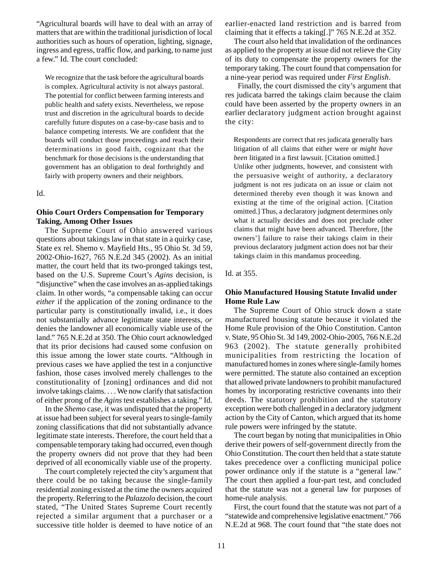"Agricultural boards will have to deal with an array of matters that are within the traditional jurisdiction of local authorities such as hours of operation, lighting, signage, ingress and egress, traffic flow, and parking, to name just a few." Id. The court concluded:

We recognize that the task before the agricultural boards is complex. Agricultural activity is not always pastoral. The potential for conflict between farming interests and public health and safety exists. Nevertheless, we repose trust and discretion in the agricultural boards to decide carefully future disputes on a case-by-case basis and to balance competing interests. We are confident that the boards will conduct those proceedings and reach their determinations in good faith, cognizant that the benchmark for those decisions is the understanding that government has an obligation to deal forthrightly and fairly with property owners and their neighbors.

Id.

## **Ohio Court Orders Compensation for Temporary Taking, Among Other Issues**

The Supreme Court of Ohio answered various questions about takings law in that state in a quirky case, State ex rel. Shemo v. Mayfield Hts., 95 Ohio St. 3d 59, 2002-Ohio-1627, 765 N.E.2d 345 (2002). As an initial matter, the court held that its two-pronged takings test, based on the U.S. Supreme Court's *Agins* decision, is "disjunctive" when the case involves an as-applied takings claim. In other words, "a compensable taking can occur *either* if the application of the zoning ordinance to the particular party is constitutionally invalid, i.e., it does not substantially advance legitimate state interests, *or* denies the landowner all economically viable use of the land." 765 N.E.2d at 350. The Ohio court acknowledged that its prior decisions had caused some confusion on this issue among the lower state courts. "Although in previous cases we have applied the test in a conjunctive fashion, those cases involved merely challenges to the constitutionality of [zoning] ordinances and did not involve takings claims. . . . We now clarify that satisfaction of either prong of the *Agins* test establishes a taking." Id.

In the *Shemo* case, it was undisputed that the property at issue had been subject for several years to single-family zoning classifications that did not substantially advance legitimate state interests. Therefore, the court held that a compensable temporary taking had occurred, even though the property owners did not prove that they had been deprived of all economically viable use of the property.

The court completely rejected the city's argument that there could be no taking because the single-family residential zoning existed at the time the owners acquired the property. Referring to the *Palazzolo* decision, the court stated, "The United States Supreme Court recently rejected a similar argument that a purchaser or a successive title holder is deemed to have notice of an earlier-enacted land restriction and is barred from claiming that it effects a taking[.]" 765 N.E.2d at 352.

The court also held that invalidation of the ordinances as applied to the property at issue did not relieve the City of its duty to compensate the property owners for the temporary taking. The court found that compensation for a nine-year period was required under *First English*.

Finally, the court dismissed the city's argument that res judicata barred the takings claim because the claim could have been asserted by the property owners in an earlier declaratory judgment action brought against the city:

Respondents are correct that res judicata generally bars litigation of all claims that either were or *might have been* litigated in a first lawsuit. [Citation omitted.] Unlike other judgments, however, and consistent with the persuasive weight of authority, a declaratory judgment is not res judicata on an issue or claim not determined thereby even though it was known and existing at the time of the original action. [Citation omitted.] Thus, a declaratory judgment determines only what it actually decides and does not preclude other claims that might have been advanced. Therefore, [the owners'] failure to raise their takings claim in their previous declaratory judgment action does not bar their takings claim in this mandamus proceeding.

Id. at 355.

# **Ohio Manufactured Housing Statute Invalid under Home Rule Law**

The Supreme Court of Ohio struck down a state manufactured housing statute because it violated the Home Rule provision of the Ohio Constitution. Canton v. State, 95 Ohio St. 3d 149, 2002-Ohio-2005, 766 N.E.2d 963 (2002). The statute generally prohibited municipalities from restricting the location of manufactured homes in zones where single-family homes were permitted. The statute also contained an exception that allowed private landowners to prohibit manufactured homes by incorporating restrictive covenants into their deeds. The statutory prohibition and the statutory exception were both challenged in a declaratory judgment action by the City of Canton, which argued that its home rule powers were infringed by the statute.

The court began by noting that municipalities in Ohio derive their powers of self-government directly from the Ohio Constitution. The court then held that a state statute takes precedence over a conflicting municipal police power ordinance only if the statute is a "general law." The court then applied a four-part test, and concluded that the statute was not a general law for purposes of home-rule analysis.

First, the court found that the statute was not part of a "statewide and comprehensive legislative enactment." 766 N.E.2d at 968. The court found that "the state does not